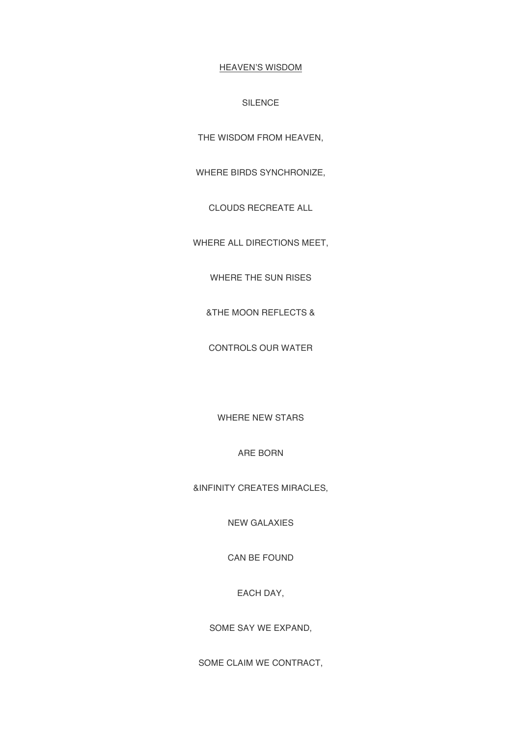## HEAVEN'S WISDOM

## SILENCE

THE WISDOM FROM HEAVEN,

WHERE BIRDS SYNCHRONIZE,

CLOUDS RECREATE ALL

WHERE ALL DIRECTIONS MEET,

WHERE THE SUN RISES

&THE MOON REFLECTS &

CONTROLS OUR WATER

WHERE NEW STARS

ARE BORN

&INFINITY CREATES MIRACLES,

NEW GALAXIES

CAN BE FOUND

EACH DAY,

SOME SAY WE EXPAND,

SOME CLAIM WE CONTRACT,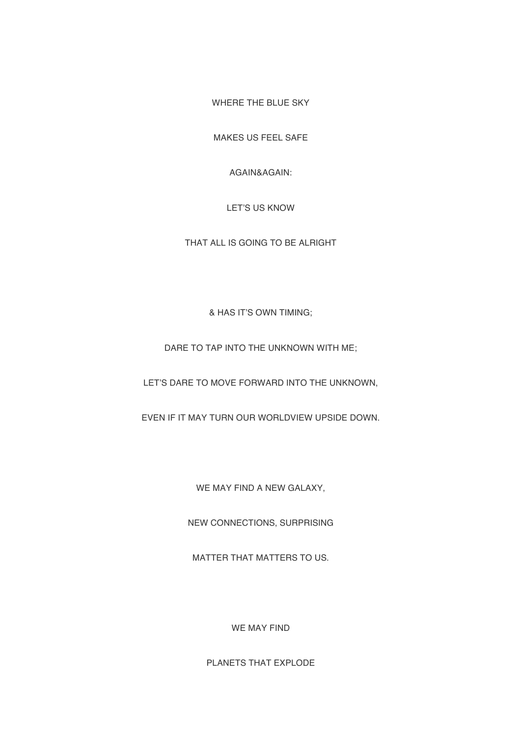WHERE THE BLUE SKY

MAKES US FEEL SAFE

AGAIN&AGAIN:

LET'S US KNOW

THAT ALL IS GOING TO BE ALRIGHT

& HAS IT'S OWN TIMING;

DARE TO TAP INTO THE UNKNOWN WITH ME;

LET'S DARE TO MOVE FORWARD INTO THE UNKNOWN,

EVEN IF IT MAY TURN OUR WORLDVIEW UPSIDE DOWN.

WE MAY FIND A NEW GALAXY,

NEW CONNECTIONS, SURPRISING

MATTER THAT MATTERS TO US.

WE MAY FIND

PLANETS THAT EXPLODE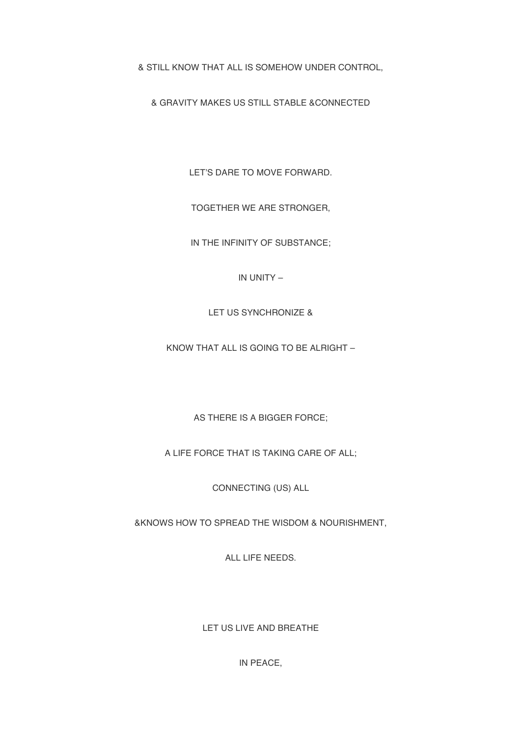& STILL KNOW THAT ALL IS SOMEHOW UNDER CONTROL,

& GRAVITY MAKES US STILL STABLE &CONNECTED

LET'S DARE TO MOVE FORWARD.

TOGETHER WE ARE STRONGER,

IN THE INFINITY OF SUBSTANCE;

IN UNITY –

LET US SYNCHRONIZE &

KNOW THAT ALL IS GOING TO BE ALRIGHT –

AS THERE IS A BIGGER FORCE;

A LIFE FORCE THAT IS TAKING CARE OF ALL;

CONNECTING (US) ALL

&KNOWS HOW TO SPREAD THE WISDOM & NOURISHMENT,

ALL LIFE NEEDS.

LET US LIVE AND BREATHE

IN PEACE,